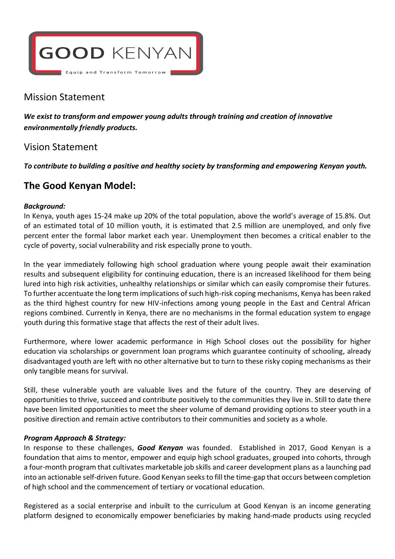

# Mission Statement

*We exist to transform and empower young adults through training and creation of innovative environmentally friendly products.*

# Vision Statement

*To contribute to building a positive and healthy society by transforming and empowering Kenyan youth.* 

# **The Good Kenyan Model:**

### *Background:*

In Kenya, youth ages 15-24 make up 20% of the total population, above the world's average of 15.8%. Out of an estimated total of 10 million youth, it is estimated that 2.5 million are unemployed, and only five percent enter the formal labor market each year. Unemployment then becomes a critical enabler to the cycle of poverty, social vulnerability and risk especially prone to youth.

In the year immediately following high school graduation where young people await their examination results and subsequent eligibility for continuing education, there is an increased likelihood for them being lured into high risk activities, unhealthy relationships or similar which can easily compromise their futures. To further accentuate the long term implications of such high-risk coping mechanisms, Kenya has been raked as the third highest country for new HIV-infections among young people in the East and Central African regions combined. Currently in Kenya, there are no mechanisms in the formal education system to engage youth during this formative stage that affects the rest of their adult lives.

Furthermore, where lower academic performance in High School closes out the possibility for higher education via scholarships or government loan programs which guarantee continuity of schooling, already disadvantaged youth are left with no other alternative but to turn to these risky coping mechanisms as their only tangible means for survival.

Still, these vulnerable youth are valuable lives and the future of the country. They are deserving of opportunities to thrive, succeed and contribute positively to the communities they live in. Still to date there have been limited opportunities to meet the sheer volume of demand providing options to steer youth in a positive direction and remain active contributors to their communities and society as a whole.

### *Program Approach & Strategy:*

In response to these challenges, *Good Kenyan* was founded. Established in 2017, Good Kenyan is a foundation that aims to mentor, empower and equip high school graduates, grouped into cohorts, through a four-month program that cultivates marketable job skills and career development plans as a launching pad into an actionable self-driven future. Good Kenyan seeks to fill the time-gap that occurs between completion of high school and the commencement of tertiary or vocational education.

Registered as a social enterprise and inbuilt to the curriculum at Good Kenyan is an income generating platform designed to economically empower beneficiaries by making hand-made products using recycled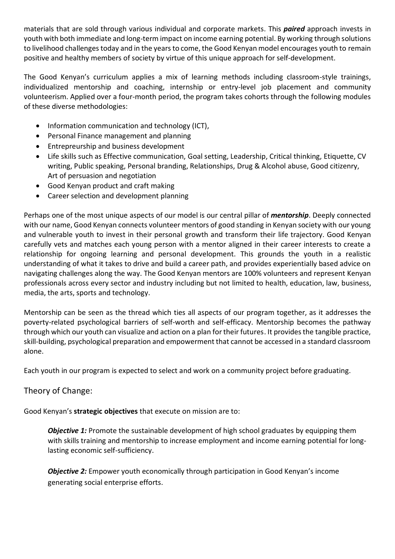materials that are sold through various individual and corporate markets. This *paired* approach invests in youth with both immediate and long-term impact on income earning potential. By working through solutions to livelihood challenges today and in the years to come, the Good Kenyan model encourages youth to remain positive and healthy members of society by virtue of this unique approach for self-development.

The Good Kenyan's curriculum applies a mix of learning methods including classroom-style trainings, individualized mentorship and coaching, internship or entry-level job placement and community volunteerism. Applied over a four-month period, the program takes cohorts through the following modules of these diverse methodologies:

- Information communication and technology (ICT),
- Personal Finance management and planning
- Entrepreurship and business development
- Life skills such as Effective communication, Goal setting, Leadership, Critical thinking, Etiquette, CV writing, Public speaking, Personal branding, Relationships, Drug & Alcohol abuse, Good citizenry, Art of persuasion and negotiation
- Good Kenyan product and craft making
- Career selection and development planning

Perhaps one of the most unique aspects of our model is our central pillar of *mentorship*. Deeply connected with our name, Good Kenyan connects volunteer mentors of good standing in Kenyan society with our young and vulnerable youth to invest in their personal growth and transform their life trajectory. Good Kenyan carefully vets and matches each young person with a mentor aligned in their career interests to create a relationship for ongoing learning and personal development. This grounds the youth in a realistic understanding of what it takes to drive and build a career path, and provides experientially based advice on navigating challenges along the way. The Good Kenyan mentors are 100% volunteers and represent Kenyan professionals across every sector and industry including but not limited to health, education, law, business, media, the arts, sports and technology.

Mentorship can be seen as the thread which ties all aspects of our program together, as it addresses the poverty-related psychological barriers of self-worth and self-efficacy. Mentorship becomes the pathway through which our youth can visualize and action on a plan for their futures. It provides the tangible practice, skill-building, psychological preparation and empowerment that cannot be accessed in a standard classroom alone.

Each youth in our program is expected to select and work on a community project before graduating.

## Theory of Change:

Good Kenyan's **strategic objectives** that execute on mission are to:

*Objective 1:* Promote the sustainable development of high school graduates by equipping them with skills training and mentorship to increase employment and income earning potential for longlasting economic self-sufficiency.

*Objective 2:* Empower youth economically through participation in Good Kenyan's income generating social enterprise efforts.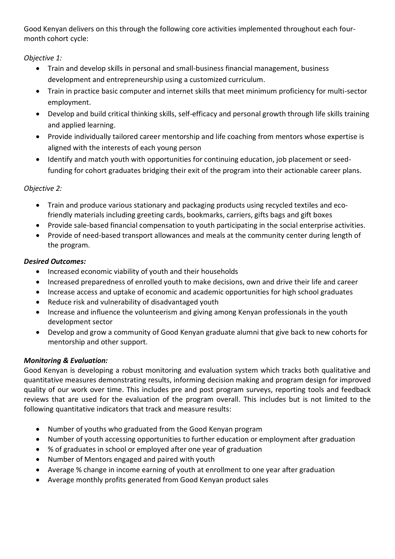Good Kenyan delivers on this through the following core activities implemented throughout each fourmonth cohort cycle:

*Objective 1:* 

- Train and develop skills in personal and small-business financial management, business development and entrepreneurship using a customized curriculum.
- Train in practice basic computer and internet skills that meet minimum proficiency for multi-sector employment.
- Develop and build critical thinking skills, self-efficacy and personal growth through life skills training and applied learning.
- Provide individually tailored career mentorship and life coaching from mentors whose expertise is aligned with the interests of each young person
- Identify and match youth with opportunities for continuing education, job placement or seedfunding for cohort graduates bridging their exit of the program into their actionable career plans.

## *Objective 2:*

- Train and produce various stationary and packaging products using recycled textiles and ecofriendly materials including greeting cards, bookmarks, carriers, gifts bags and gift boxes
- Provide sale-based financial compensation to youth participating in the social enterprise activities.
- Provide of need-based transport allowances and meals at the community center during length of the program.

## *Desired Outcomes:*

- Increased economic viability of youth and their households
- Increased preparedness of enrolled youth to make decisions, own and drive their life and career
- Increase access and uptake of economic and academic opportunities for high school graduates
- Reduce risk and vulnerability of disadvantaged youth
- Increase and influence the volunteerism and giving among Kenyan professionals in the youth development sector
- Develop and grow a community of Good Kenyan graduate alumni that give back to new cohorts for mentorship and other support.

## *Monitoring & Evaluation:*

Good Kenyan is developing a robust monitoring and evaluation system which tracks both qualitative and quantitative measures demonstrating results, informing decision making and program design for improved quality of our work over time. This includes pre and post program surveys, reporting tools and feedback reviews that are used for the evaluation of the program overall. This includes but is not limited to the following quantitative indicators that track and measure results:

- Number of youths who graduated from the Good Kenyan program
- Number of youth accessing opportunities to further education or employment after graduation
- % of graduates in school or employed after one year of graduation
- Number of Mentors engaged and paired with youth
- Average % change in income earning of youth at enrollment to one year after graduation
- Average monthly profits generated from Good Kenyan product sales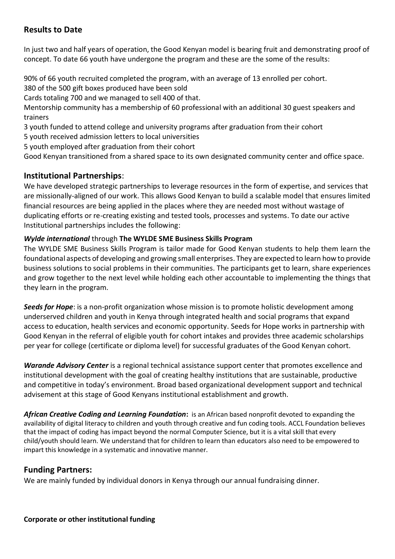## **Results to Date**

In just two and half years of operation, the Good Kenyan model is bearing fruit and demonstrating proof of concept. To date 66 youth have undergone the program and these are the some of the results:

90% of 66 youth recruited completed the program, with an average of 13 enrolled per cohort. 380 of the 500 gift boxes produced have been sold

Cards totaling 700 and we managed to sell 400 of that.

Mentorship community has a membership of 60 professional with an additional 30 guest speakers and trainers

- 3 youth funded to attend college and university programs after graduation from their cohort
- 5 youth received admission letters to local universities
- 5 youth employed after graduation from their cohort

Good Kenyan transitioned from a shared space to its own designated community center and office space.

### **Institutional Partnerships**:

We have developed strategic partnerships to leverage resources in the form of expertise, and services that are missionally-aligned of our work. This allows Good Kenyan to build a scalable model that ensures limited financial resources are being applied in the places where they are needed most without wastage of duplicating efforts or re-creating existing and tested tools, processes and systems. To date our active Institutional partnerships includes the following:

### *Wylde international* through **The WYLDE SME Business Skills Program**

The WYLDE SME Business Skills Program is tailor made for Good Kenyan students to help them learn the foundational aspects of developing and growing small enterprises. They are expected to learn how to provide business solutions to social problems in their communities. The participants get to learn, share experiences and grow together to the next level while holding each other accountable to implementing the things that they learn in the program.

*Seeds for Hope*: is a non-profit organization whose mission is to promote holistic development among underserved children and youth in Kenya through integrated health and social programs that expand access to education, health services and economic opportunity. Seeds for Hope works in partnership with Good Kenyan in the referral of eligible youth for cohort intakes and provides three academic scholarships per year for college (certificate or diploma level) for successful graduates of the Good Kenyan cohort.

*Warande Advisory Center* is a regional technical assistance support center that promotes excellence and institutional development with the goal of creating healthy institutions that are sustainable, productive and competitive in today's environment. Broad based organizational development support and technical advisement at this stage of Good Kenyans institutional establishment and growth.

*African Creative Coding and Learning Foundation***:** is an African based nonprofit devoted to expanding the availability of digital literacy to children and youth through creative and fun coding tools. ACCL Foundation believes that the impact of coding has impact beyond the normal Computer Science, but it is a vital skill that every child/youth should learn. We understand that for children to learn than educators also need to be empowered to impart this knowledge in a systematic and innovative manner.

## **Funding Partners:**

We are mainly funded by individual donors in Kenya through our annual fundraising dinner.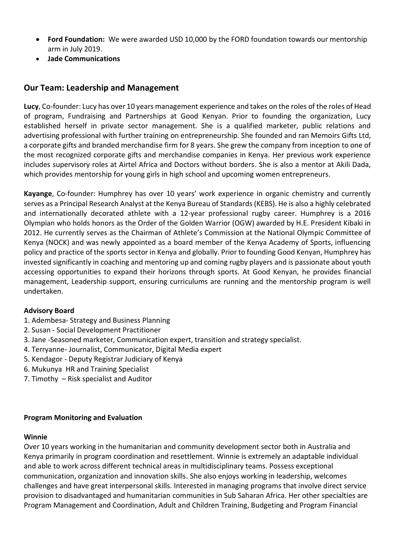- **Ford Foundation:** We were awarded USD 10,000 by the FORD foundation towards our mentorship arm in July 2019.
- **Jade Communications**

### **Our Team: Leadership and Management**

**Lucy**, Co-founder: Lucy has over 10 years management experience and takes on the roles of the roles of Head of program, Fundraising and Partnerships at Good Kenyan. Prior to founding the organization, Lucy established herself in private sector management. She is a qualified marketer, public relations and advertising professional with further training on entrepreneurship. She founded and ran Memoirs Gifts Ltd, a corporate gifts and branded merchandise firm for 8 years. She grew the company from inception to one of the most recognized corporate gifts and merchandise companies in Kenya. Her previous work experience includes supervisory roles at Airtel Africa and Doctors without borders. She is also a mentor at Akili Dada, which provides mentorship for young girls in high school and upcoming women entrepreneurs.

**Kayange**, Co-founder: Humphrey has over 10 years' work experience in organic chemistry and currently serves as a Principal Research Analyst at the Kenya Bureau of Standards (KEBS). He is also a highly celebrated and internationally decorated athlete with a 12-year professional rugby career. Humphrey is a 2016 Olympian who holds honors as the Order of the Golden Warrior (OGW) awarded by H.E. President Kibaki in 2012. He currently serves as the Chairman of Athlete's Commission at the National Olympic Committee of Kenya (NOCK) and was newly appointed as a board member of the Kenya Academy of Sports, influencing policy and practice of the sports sector in Kenya and globally. Prior to founding Good Kenyan, Humphrey has invested significantly in coaching and mentoring up and coming rugby players and is passionate about youth accessing opportunities to expand their horizons through sports. At Good Kenyan, he provides financial management, Leadership support, ensuring curriculums are running and the mentorship program is well undertaken.

### **Advisory Board**

- 1. Adembesa- Strategy and Business Planning
- 2. Susan Social Development Practitioner
- 3. Jane -Seasoned marketer, Communication expert, transition and strategy specialist.
- 4. Terryanne- Journalist, Communicator, Digital Media expert
- 5. Kendagor Deputy Registrar Judiciary of Kenya
- 6. Mukunya HR and Training Specialist
- 7. Timothy Risk specialist and Auditor

#### **Program Monitoring and Evaluation**

#### **Winnie**

Over 10 years working in the humanitarian and community development sector both in Australia and Kenya primarily in program coordination and resettlement. Winnie is extremely an adaptable individual and able to work across different technical areas in multidisciplinary teams. Possess exceptional communication, organization and innovation skills. She also enjoys working in leadership, welcomes challenges and have great interpersonal skills. Interested in managing programs that involve direct service provision to disadvantaged and humanitarian communities in Sub Saharan Africa. Her other specialties are Program Management and Coordination, Adult and Children Training, Budgeting and Program Financial